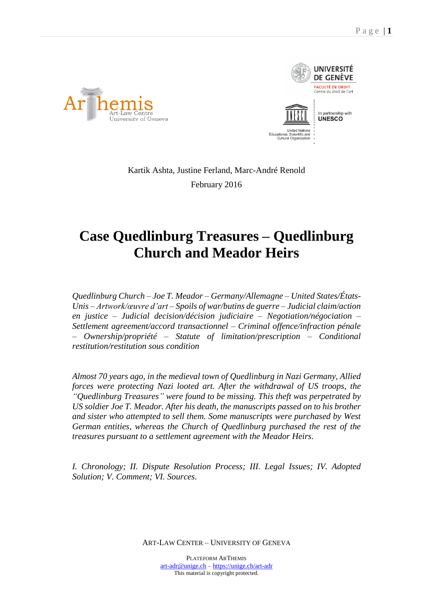



Kartik Ashta, Justine Ferland, Marc-André Renold February 2016

# **Case Quedlinburg Treasures – Quedlinburg Church and Meador Heirs**

*Quedlinburg Church – Joe T. Meador – Germany/Allemagne – United States/États-Unis – Artwork/œuvre d'art – Spoils of war/butins de guerre – Judicial claim/action en justice – Judicial decision/décision judiciaire – Negotiation/négociation – Settlement agreement/accord transactionnel – Criminal offence/infraction pénale – Ownership/propriété – Statute of limitation/prescription – Conditional restitution/restitution sous condition*

*Almost 70 years ago, in the medieval town of Quedlinburg in Nazi Germany, Allied forces were protecting Nazi looted art. After the withdrawal of US troops, the "Quedlinburg Treasures" were found to be missing. This theft was perpetrated by US soldier Joe T. Meador. After his death, the manuscripts passed on to his brother and sister who attempted to sell them. Some manuscripts were purchased by West German entities, whereas the Church of Quedlinburg purchased the rest of the treasures pursuant to a settlement agreement with the Meador Heirs.*

*I. Chronology; II. Dispute Resolution Process; III. Legal Issues; IV. Adopted Solution; V. Comment; VI. Sources.*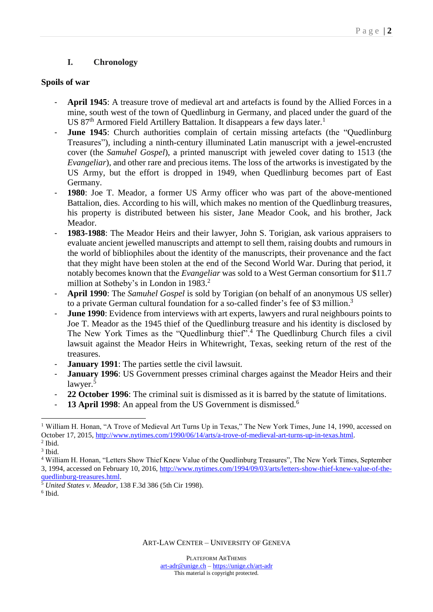# **I. Chronology**

#### **Spoils of war**

- **April 1945**: A treasure trove of medieval art and artefacts is found by the Allied Forces in a mine, south west of the town of Quedlinburg in Germany, and placed under the guard of the US 87<sup>th</sup> Armored Field Artillery Battalion. It disappears a few days later.<sup>1</sup>
- **June 1945**: Church authorities complain of certain missing artefacts (the "Quedlinburg Treasures"), including a ninth-century illuminated Latin manuscript with a jewel-encrusted cover (the *Samuhel Gospel*), a printed manuscript with jeweled cover dating to 1513 (the *Evangeliar*), and other rare and precious items. The loss of the artworks is investigated by the US Army, but the effort is dropped in 1949, when Quedlinburg becomes part of East Germany.
- **1980**: Joe T. Meador, a former US Army officer who was part of the above-mentioned Battalion, dies. According to his will, which makes no mention of the Quedlinburg treasures, his property is distributed between his sister, Jane Meador Cook, and his brother, Jack Meador.
- 1983-1988: The Meador Heirs and their lawyer, John S. Torigian, ask various appraisers to evaluate ancient jewelled manuscripts and attempt to sell them, raising doubts and rumours in the world of bibliophiles about the identity of the manuscripts, their provenance and the fact that they might have been stolen at the end of the Second World War. During that period, it notably becomes known that the *Evangeliar* was sold to a West German consortium for \$11.7 million at Sotheby's in London in 1983. 2
- **April 1990**: The *Samuhel Gospel* is sold by Torigian (on behalf of an anonymous US seller) to a private German cultural foundation for a so-called finder's fee of \$3 million.<sup>3</sup>
- **June 1990**: Evidence from interviews with art experts, lawyers and rural neighbours points to Joe T. Meador as the 1945 thief of the Quedlinburg treasure and his identity is disclosed by The New York Times as the "Quedlinburg thief".<sup>4</sup> The Quedlinburg Church files a civil lawsuit against the Meador Heirs in Whitewright, Texas, seeking return of the rest of the treasures.
- **January 1991**: The parties settle the civil lawsuit.
- January 1996: US Government presses criminal charges against the Meador Heirs and their lawyer. 5
- 22 October 1996: The criminal suit is dismissed as it is barred by the statute of limitations.
- **13 April 1998**: An appeal from the US Government is dismissed.<sup>6</sup>

 $\overline{a}$ <sup>1</sup> William H. Honan, "A Trove of Medieval Art Turns Up in Texas," The New York Times, June 14, 1990, accessed on October 17, 2015, [http://www.nytimes.com/1990/06/14/arts/a-trove-of-medieval-art-turns-up-in-texas.html.](http://www.nytimes.com/1990/06/14/arts/a-trove-of-medieval-art-turns-up-in-texas.html)  $<sup>2</sup>$  Ibid.</sup>

<sup>3</sup> Ibid.

<sup>4</sup> William H. Honan, "Letters Show Thief Knew Value of the Quedlinburg Treasures", The New York Times, September 3, 1994, accessed on February 10, 2016, [http://www.nytimes.com/1994/09/03/arts/letters-show-thief-knew-value-of-the](http://www.nytimes.com/1994/09/03/arts/letters-show-thief-knew-value-of-the-quedlinburg-treasures.html)[quedlinburg-treasures.html.](http://www.nytimes.com/1994/09/03/arts/letters-show-thief-knew-value-of-the-quedlinburg-treasures.html)

<sup>5</sup> *United States v. Meador*, 138 F.3d 386 (5th Cir 1998).

<sup>6</sup> Ibid.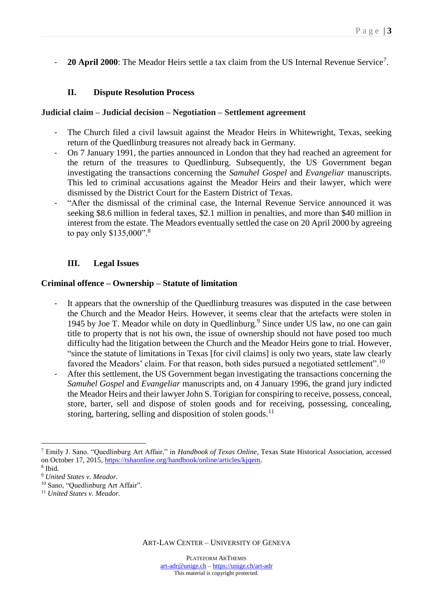- **20 April 2000**: The Meador Heirs settle a tax claim from the US Internal Revenue Service<sup>7</sup>.

# **II. Dispute Resolution Process**

### **Judicial claim – Judicial decision – Negotiation – Settlement agreement**

- The Church filed a civil lawsuit against the Meador Heirs in Whitewright, Texas, seeking return of the Quedlinburg treasures not already back in Germany.
- On 7 January 1991, the parties announced in London that they had reached an agreement for the return of the treasures to Quedlinburg. Subsequently, the US Government began investigating the transactions concerning the *Samuhel Gospel* and *Evangeliar* manuscripts. This led to criminal accusations against the Meador Heirs and their lawyer, which were dismissed by the District Court for the Eastern District of Texas.
- "After the dismissal of the criminal case, the Internal Revenue Service announced it was seeking \$8.6 million in federal taxes, \$2.1 million in penalties, and more than \$40 million in interest from the estate. The Meadors eventually settled the case on 20 April 2000 by agreeing to pay only \$135,000". 8

# **III. Legal Issues**

#### **Criminal offence – Ownership – Statute of limitation**

- It appears that the ownership of the Quedlinburg treasures was disputed in the case between the Church and the Meador Heirs. However, it seems clear that the artefacts were stolen in 1945 by Joe T. Meador while on duty in Quedlinburg.<sup>9</sup> Since under US law, no one can gain title to property that is not his own, the issue of ownership should not have posed too much difficulty had the litigation between the Church and the Meador Heirs gone to trial. However, "since the statute of limitations in Texas [for civil claims] is only two years, state law clearly favored the Meadors' claim. For that reason, both sides pursued a negotiated settlement".<sup>10</sup>
- After this settlement, the US Government began investigating the transactions concerning the *Samuhel Gospel* and *Evangeliar* manuscripts and, on 4 January 1996, the grand jury indicted the Meador Heirs and their lawyer John S. Torigian for conspiring to receive, possess, conceal, store, barter, sell and dispose of stolen goods and for receiving, possessing, concealing, storing, bartering, selling and disposition of stolen goods.<sup>11</sup>

 $\overline{a}$ <sup>7</sup> Emily J. Sano. "Quedlinburg Art Affair," in *Handbook of Texas Online*, Texas State Historical Association, accessed on October 17, 2015, [https://tshaonline.org/handbook/online/articles/kjqem.](https://tshaonline.org/handbook/online/articles/kjqem)

<sup>8</sup> Ibid.

<sup>9</sup> *United States v. Meador.*

<sup>&</sup>lt;sup>10</sup> Sano, "Quedlinburg Art Affair".

<sup>11</sup> *United States v. Meador.*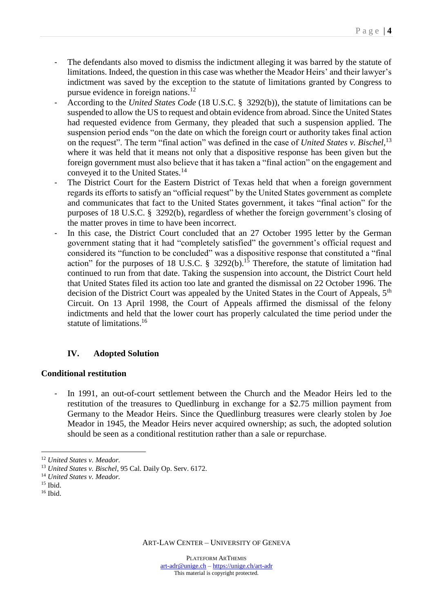- The defendants also moved to dismiss the indictment alleging it was barred by the statute of limitations. Indeed, the question in this case was whether the Meador Heirs' and their lawyer's indictment was saved by the exception to the statute of limitations granted by Congress to pursue evidence in foreign nations. $12$
- According to the *United States Code* (18 U.S.C. § 3292(b)), the statute of limitations can be suspended to allow the US to request and obtain evidence from abroad. Since the United States had requested evidence from Germany, they pleaded that such a suspension applied. The suspension period ends "on the date on which the foreign court or authority takes final action on the request". The term "final action" was defined in the case of *United States v. Bischel*, 13 where it was held that it means not only that a dispositive response has been given but the foreign government must also believe that it has taken a "final action" on the engagement and conveyed it to the United States.<sup>14</sup>
- The District Court for the Eastern District of Texas held that when a foreign government regards its efforts to satisfy an "official request" by the United States government as complete and communicates that fact to the United States government, it takes "final action" for the purposes of 18 U.S.C. § 3292(b), regardless of whether the foreign government's closing of the matter proves in time to have been incorrect.
- In this case, the District Court concluded that an 27 October 1995 letter by the German government stating that it had "completely satisfied" the government's official request and considered its "function to be concluded" was a dispositive response that constituted a "final action" for the purposes of 18 U.S.C. § 3292(b).<sup>15</sup> Therefore, the statute of limitation had continued to run from that date. Taking the suspension into account, the District Court held that United States filed its action too late and granted the dismissal on 22 October 1996. The decision of the District Court was appealed by the United States in the Court of Appeals, 5<sup>th</sup> Circuit. On 13 April 1998, the Court of Appeals affirmed the dismissal of the felony indictments and held that the lower court has properly calculated the time period under the statute of limitations. 16

# **IV. Adopted Solution**

# **Conditional restitution**

- In 1991, an out-of-court settlement between the Church and the Meador Heirs led to the restitution of the treasures to Quedlinburg in exchange for a \$2.75 million payment from Germany to the Meador Heirs. Since the Quedlinburg treasures were clearly stolen by Joe Meador in 1945, the Meador Heirs never acquired ownership; as such, the adopted solution should be seen as a conditional restitution rather than a sale or repurchase.

 $\overline{a}$ <sup>12</sup> *United States v. Meador.*

<sup>13</sup> *United States v. Bischel*, 95 Cal. Daily Op. Serv. 6172.

<sup>14</sup> *United States v. Meador.*

 $15$  Ibid.

<sup>16</sup> Ibid.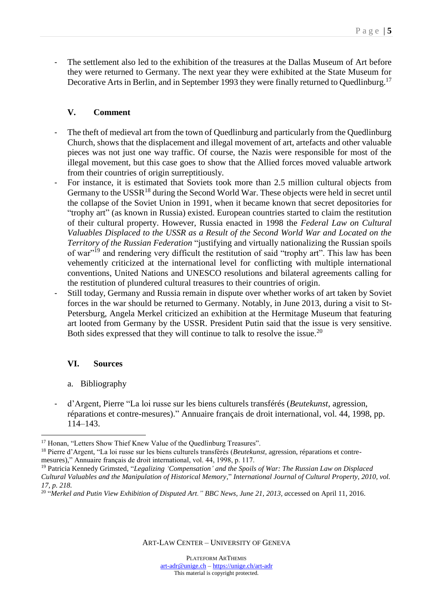- The settlement also led to the exhibition of the treasures at the Dallas Museum of Art before they were returned to Germany. The next year they were exhibited at the State Museum for Decorative Arts in Berlin, and in September 1993 they were finally returned to Quedlinburg.<sup>17</sup>

# **V. Comment**

- The theft of medieval art from the town of Quedlinburg and particularly from the Quedlinburg Church, shows that the displacement and illegal movement of art, artefacts and other valuable pieces was not just one way traffic. Of course, the Nazis were responsible for most of the illegal movement, but this case goes to show that the Allied forces moved valuable artwork from their countries of origin surreptitiously.
- For instance, it is estimated that Soviets took more than 2.5 million cultural objects from Germany to the  $USSR<sup>18</sup>$  during the Second World War. These objects were held in secret until the collapse of the Soviet Union in 1991, when it became known that secret depositories for "trophy art" (as known in Russia) existed. European countries started to claim the restitution of their cultural property. However, Russia enacted in 1998 the *Federal Law on Cultural Valuables Displaced to the USSR as a Result of the Second World War and Located on the Territory of the Russian Federation* "justifying and virtually nationalizing the Russian spoils of war"<sup>19</sup> and rendering very difficult the restitution of said "trophy art". This law has been vehemently criticized at the international level for conflicting with multiple international conventions, United Nations and UNESCO resolutions and bilateral agreements calling for the restitution of plundered cultural treasures to their countries of origin.
- Still today, Germany and Russia remain in dispute over whether works of art taken by Soviet forces in the war should be returned to Germany. Notably, in June 2013, during a visit to St-Petersburg, Angela Merkel criticized an exhibition at the Hermitage Museum that featuring art looted from Germany by the USSR. President Putin said that the issue is very sensitive. Both sides expressed that they will continue to talk to resolve the issue.<sup>20</sup>

# **VI. Sources**

- a. Bibliography
- d'Argent, Pierre "La loi russe sur les biens culturels transférés (*Beutekunst*, agression, réparations et contre-mesures)." Annuaire français de droit international, vol. 44, 1998, pp. 114–143.

 $\overline{a}$ <sup>17</sup> Honan, "Letters Show Thief Knew Value of the Quedlinburg Treasures".

<sup>18</sup> Pierre d'Argent, "La loi russe sur les biens culturels transférés (*Beutekunst*, agression, réparations et contremesures)," Annuaire français de droit international, vol. 44, 1998, p. 117.

<sup>19</sup> Patricia Kennedy Grimsted, "*Legalizing 'Compensation' and the Spoils of War: The Russian Law on Displaced Cultural Valuables and the Manipulation of Historical Memory,*" *International Journal of Cultural Property, 2010, vol. 17, p. 218.*

<sup>20</sup> "*Merkel and Putin View Exhibition of Disputed Art." BBC News, June 21, 2013, a*ccessed on April 11, 2016.